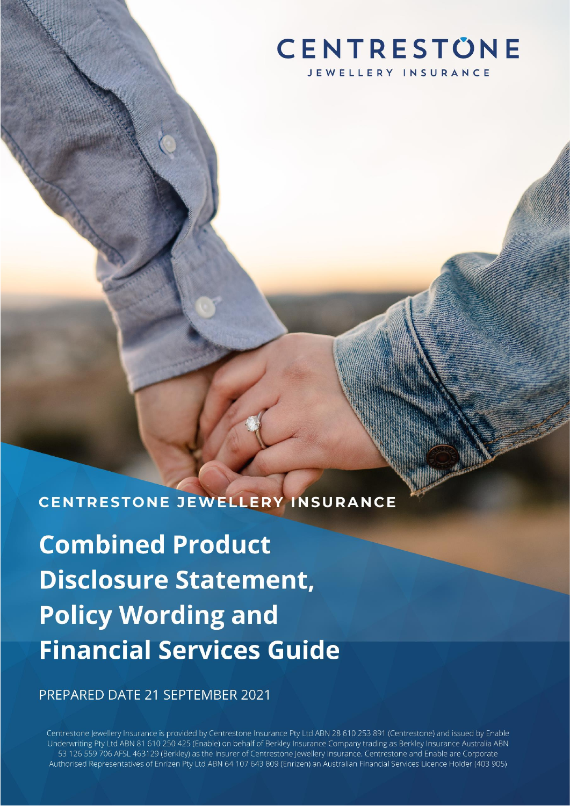# CENTRESTÖNE JEWELLERY INSURANCE

CENTRESTONE JEWELLERY INSURANCE

**Combined Product Disclosure Statement, Policy Wording and Financial Services Guide** 

PREPARED DATE 21 SEPTEMBER 2021

Centrestone Jewellery Insurance is provided by Centrestone Insurance Pty Ltd ABN 28 610 253 891 (Centrestone) and issued by Enable Underwriting Pty Ltd ABN 81 610 250 425 (Enable) on behalf of Berkley Insurance Company trading as Berkley Insurance Australia ABN 53 126 559 706 AFSL 463129 (Berkley) as the Insurer of Centrestone Jewellery Insurance. Centrestone and Enable are Corporate Authorised Representatives of Enrizen Pty Ltd ABN 64 107 643 809 (Enrizen) an Australian Financial Services Licence Holder (403 905)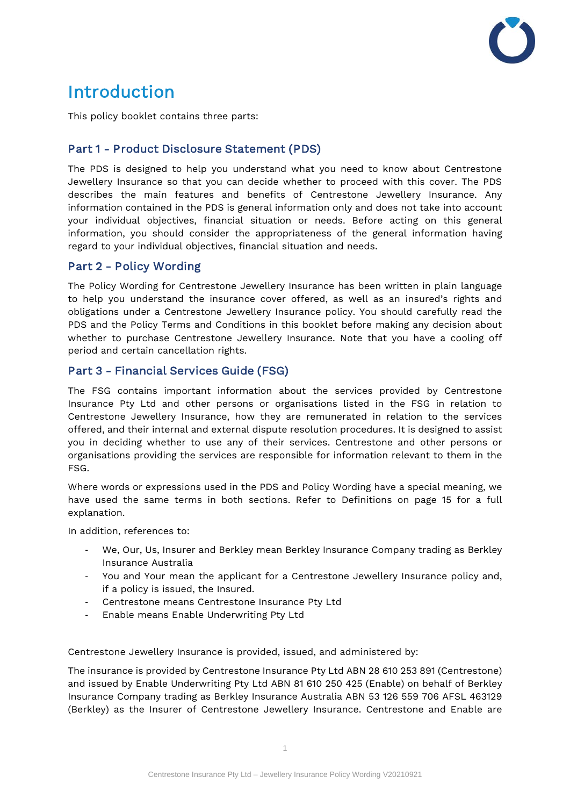

# **Introduction**

This policy booklet contains three parts:

### **Part 1 - Product Disclosure Statement (PDS)**

The PDS is designed to help you understand what you need to know about Centrestone Jewellery Insurance so that you can decide whether to proceed with this cover. The PDS describes the main features and benefits of Centrestone Jewellery Insurance. Any information contained in the PDS is general information only and does not take into account your individual objectives, financial situation or needs. Before acting on this general information, you should consider the appropriateness of the general information having regard to your individual objectives, financial situation and needs.

### **Part 2 - Policy Wording**

The Policy Wording for Centrestone Jewellery Insurance has been written in plain language to help you understand the insurance cover offered, as well as an insured's rights and obligations under a Centrestone Jewellery Insurance policy. You should carefully read the PDS and the Policy Terms and Conditions in this booklet before making any decision about whether to purchase Centrestone Jewellery Insurance. Note that you have a cooling off period and certain cancellation rights.

### **Part 3 - Financial Services Guide (FSG)**

The FSG contains important information about the services provided by Centrestone Insurance Pty Ltd and other persons or organisations listed in the FSG in relation to Centrestone Jewellery Insurance, how they are remunerated in relation to the services offered, and their internal and external dispute resolution procedures. It is designed to assist you in deciding whether to use any of their services. Centrestone and other persons or organisations providing the services are responsible for information relevant to them in the FSG.

Where words or expressions used in the PDS and Policy Wording have a special meaning, we have used the same terms in both sections. Refer to Definitions on page 15 for a full explanation.

In addition, references to:

- We, Our, Us, Insurer and Berkley mean Berkley Insurance Company trading as Berkley Insurance Australia
- You and Your mean the applicant for a Centrestone Jewellery Insurance policy and, if a policy is issued, the Insured.
- Centrestone means Centrestone Insurance Pty Ltd
- Enable means Enable Underwriting Pty Ltd

Centrestone Jewellery Insurance is provided, issued, and administered by:

The insurance is provided by Centrestone Insurance Pty Ltd ABN 28 610 253 891 (Centrestone) and issued by Enable Underwriting Pty Ltd ABN 81 610 250 425 (Enable) on behalf of Berkley Insurance Company trading as Berkley Insurance Australia ABN 53 126 559 706 AFSL 463129 (Berkley) as the Insurer of Centrestone Jewellery Insurance. Centrestone and Enable are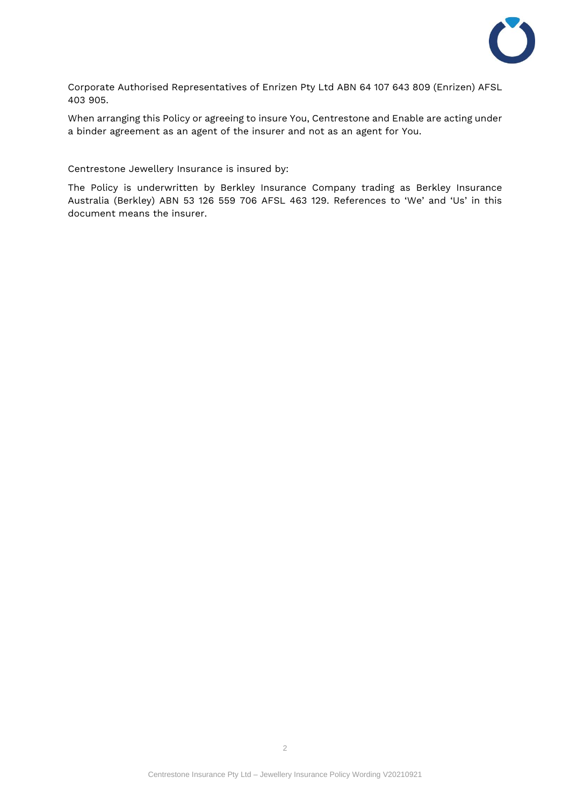

Corporate Authorised Representatives of Enrizen Pty Ltd ABN 64 107 643 809 (Enrizen) AFSL 403 905.

When arranging this Policy or agreeing to insure You, Centrestone and Enable are acting under a binder agreement as an agent of the insurer and not as an agent for You.

Centrestone Jewellery Insurance is insured by:

The Policy is underwritten by Berkley Insurance Company trading as Berkley Insurance Australia (Berkley) ABN 53 126 559 706 AFSL 463 129. References to 'We' and 'Us' in this document means the insurer.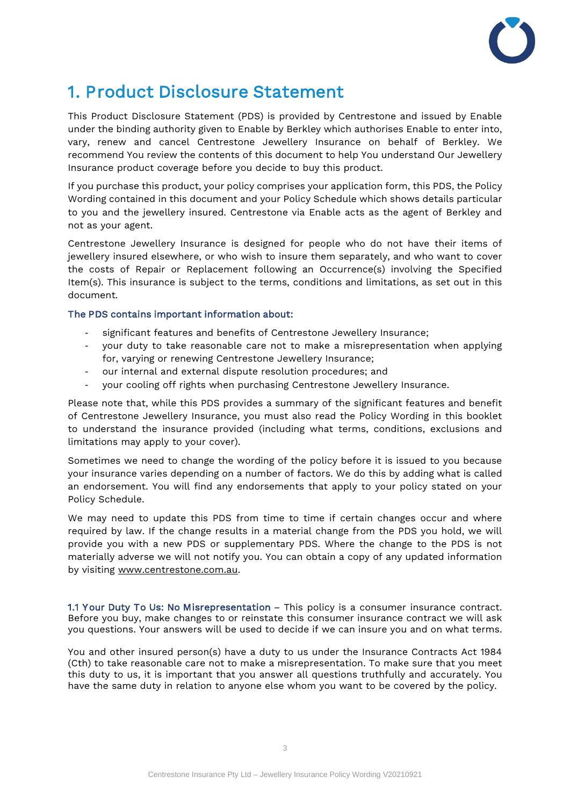

# **1. Product Disclosure Statement**

This Product Disclosure Statement (PDS) is provided by Centrestone and issued by Enable under the binding authority given to Enable by Berkley which authorises Enable to enter into, vary, renew and cancel Centrestone Jewellery Insurance on behalf of Berkley. We recommend You review the contents of this document to help You understand Our Jewellery Insurance product coverage before you decide to buy this product.

If you purchase this product, your policy comprises your application form, this PDS, the Policy Wording contained in this document and your Policy Schedule which shows details particular to you and the jewellery insured. Centrestone via Enable acts as the agent of Berkley and not as your agent.

Centrestone Jewellery Insurance is designed for people who do not have their items of jewellery insured elsewhere, or who wish to insure them separately, and who want to cover the costs of Repair or Replacement following an Occurrence(s) involving the Specified Item(s). This insurance is subject to the terms, conditions and limitations, as set out in this document.

### **The PDS contains important information about:**

- significant features and benefits of Centrestone Jewellery Insurance:
- your duty to take reasonable care not to make a misrepresentation when applying for, varying or renewing Centrestone Jewellery Insurance;
- our internal and external dispute resolution procedures; and
- your cooling off rights when purchasing Centrestone Jewellery Insurance.

Please note that, while this PDS provides a summary of the significant features and benefit of Centrestone Jewellery Insurance, you must also read the Policy Wording in this booklet to understand the insurance provided (including what terms, conditions, exclusions and limitations may apply to your cover).

Sometimes we need to change the wording of the policy before it is issued to you because your insurance varies depending on a number of factors. We do this by adding what is called an endorsement. You will find any endorsements that apply to your policy stated on your Policy Schedule.

We may need to update this PDS from time to time if certain changes occur and where required by law. If the change results in a material change from the PDS you hold, we will provide you with a new PDS or supplementary PDS. Where the change to the PDS is not materially adverse we will not notify you. You can obtain a copy of any updated information by visiting [www.centrestone.com.au.](http://www.centrestone.com.au/)

**1.1 Your Duty To Us: No Misrepresentation - This policy is a consumer insurance contract.** Before you buy, make changes to or reinstate this consumer insurance contract we will ask you questions. Your answers will be used to decide if we can insure you and on what terms.

You and other insured person(s) have a duty to us under the Insurance Contracts Act 1984 (Cth) to take reasonable care not to make a misrepresentation. To make sure that you meet this duty to us, it is important that you answer all questions truthfully and accurately. You have the same duty in relation to anyone else whom you want to be covered by the policy.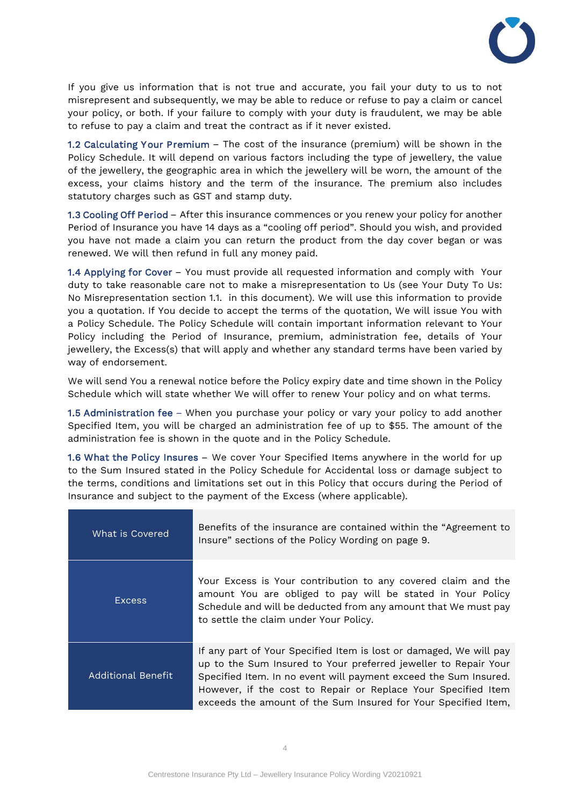

If you give us information that is not true and accurate, you fail your duty to us to not misrepresent and subsequently, we may be able to reduce or refuse to pay a claim or cancel your policy, or both. If your failure to comply with your duty is fraudulent, we may be able to refuse to pay a claim and treat the contract as if it never existed.

**1.2 Calculating Your Premium –** The cost of the insurance (premium) will be shown in the Policy Schedule. It will depend on various factors including the type of jewellery, the value of the jewellery, the geographic area in which the jewellery will be worn, the amount of the excess, your claims history and the term of the insurance. The premium also includes statutory charges such as GST and stamp duty.

**1.3 Cooling Off Period –** After this insurance commences or you renew your policy for another Period of Insurance you have 14 days as a "cooling off period". Should you wish, and provided you have not made a claim you can return the product from the day cover began or was renewed. We will then refund in full any money paid.

**1.4 Applying for Cover -** You must provide all requested information and comply with Your duty to take reasonable care not to make a misrepresentation to Us (see Your Duty To Us: No Misrepresentation section 1.1. in this document). We will use this information to provide you a quotation. If You decide to accept the terms of the quotation, We will issue You with a Policy Schedule. The Policy Schedule will contain important information relevant to Your Policy including the Period of Insurance, premium, administration fee, details of Your jewellery, the Excess(s) that will apply and whether any standard terms have been varied by way of endorsement.

We will send You a renewal notice before the Policy expiry date and time shown in the Policy Schedule which will state whether We will offer to renew Your policy and on what terms.

**1.5 Administration fee –** When you purchase your policy or vary your policy to add another Specified Item, you will be charged an administration fee of up to \$55. The amount of the administration fee is shown in the quote and in the Policy Schedule.

**1.6 What the Policy Insures –** We cover Your Specified Items anywhere in the world for up to the Sum Insured stated in the Policy Schedule for Accidental loss or damage subject to the terms, conditions and limitations set out in this Policy that occurs during the Period of Insurance and subject to the payment of the Excess (where applicable).

| What is Covered           | Benefits of the insurance are contained within the "Agreement to<br>Insure" sections of the Policy Wording on page 9.                                                                                                                                                                                                                        |
|---------------------------|----------------------------------------------------------------------------------------------------------------------------------------------------------------------------------------------------------------------------------------------------------------------------------------------------------------------------------------------|
| <b>Excess</b>             | Your Excess is Your contribution to any covered claim and the<br>amount You are obliged to pay will be stated in Your Policy<br>Schedule and will be deducted from any amount that We must pay<br>to settle the claim under Your Policy.                                                                                                     |
| <b>Additional Benefit</b> | If any part of Your Specified Item is lost or damaged, We will pay<br>up to the Sum Insured to Your preferred jeweller to Repair Your<br>Specified Item. In no event will payment exceed the Sum Insured.<br>However, if the cost to Repair or Replace Your Specified Item<br>exceeds the amount of the Sum Insured for Your Specified Item, |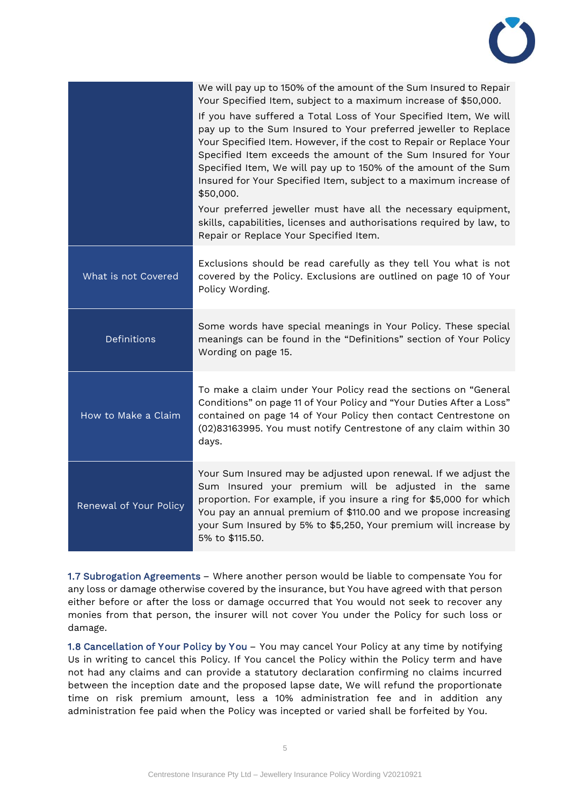

|                        | We will pay up to 150% of the amount of the Sum Insured to Repair<br>Your Specified Item, subject to a maximum increase of \$50,000.<br>If you have suffered a Total Loss of Your Specified Item, We will<br>pay up to the Sum Insured to Your preferred jeweller to Replace<br>Your Specified Item. However, if the cost to Repair or Replace Your<br>Specified Item exceeds the amount of the Sum Insured for Your<br>Specified Item, We will pay up to 150% of the amount of the Sum<br>Insured for Your Specified Item, subject to a maximum increase of<br>\$50,000.<br>Your preferred jeweller must have all the necessary equipment,<br>skills, capabilities, licenses and authorisations required by law, to<br>Repair or Replace Your Specified Item. |
|------------------------|----------------------------------------------------------------------------------------------------------------------------------------------------------------------------------------------------------------------------------------------------------------------------------------------------------------------------------------------------------------------------------------------------------------------------------------------------------------------------------------------------------------------------------------------------------------------------------------------------------------------------------------------------------------------------------------------------------------------------------------------------------------|
| What is not Covered    | Exclusions should be read carefully as they tell You what is not<br>covered by the Policy. Exclusions are outlined on page 10 of Your<br>Policy Wording.                                                                                                                                                                                                                                                                                                                                                                                                                                                                                                                                                                                                       |
| Definitions            | Some words have special meanings in Your Policy. These special<br>meanings can be found in the "Definitions" section of Your Policy<br>Wording on page 15.                                                                                                                                                                                                                                                                                                                                                                                                                                                                                                                                                                                                     |
| How to Make a Claim    | To make a claim under Your Policy read the sections on "General<br>Conditions" on page 11 of Your Policy and "Your Duties After a Loss"<br>contained on page 14 of Your Policy then contact Centrestone on<br>(02)83163995. You must notify Centrestone of any claim within 30<br>days.                                                                                                                                                                                                                                                                                                                                                                                                                                                                        |
| Renewal of Your Policy | Your Sum Insured may be adjusted upon renewal. If we adjust the<br>Sum Insured your premium will be adjusted in the same<br>proportion. For example, if you insure a ring for \$5,000 for which<br>You pay an annual premium of \$110.00 and we propose increasing<br>your Sum Insured by 5% to \$5,250, Your premium will increase by<br>5% to \$115.50.                                                                                                                                                                                                                                                                                                                                                                                                      |

**1.7 Subrogation Agreements –** Where another person would be liable to compensate You for any loss or damage otherwise covered by the insurance, but You have agreed with that person either before or after the loss or damage occurred that You would not seek to recover any monies from that person, the insurer will not cover You under the Policy for such loss or damage.

**1.8 Cancellation of Your Policy by You –** You may cancel Your Policy at any time by notifying Us in writing to cancel this Policy. If You cancel the Policy within the Policy term and have not had any claims and can provide a statutory declaration confirming no claims incurred between the inception date and the proposed lapse date, We will refund the proportionate time on risk premium amount, less a 10% administration fee and in addition any administration fee paid when the Policy was incepted or varied shall be forfeited by You.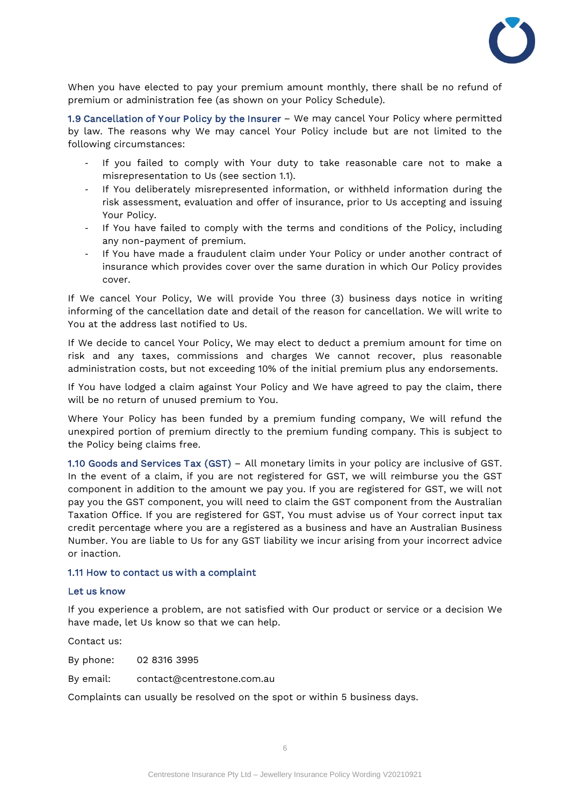

When you have elected to pay your premium amount monthly, there shall be no refund of premium or administration fee (as shown on your Policy Schedule).

**1.9 Cancellation of Your Policy by the Insurer - We may cancel Your Policy where permitted** by law. The reasons why We may cancel Your Policy include but are not limited to the following circumstances:

- If you failed to comply with Your duty to take reasonable care not to make a misrepresentation to Us (see section 1.1).
- If You deliberately misrepresented information, or withheld information during the risk assessment, evaluation and offer of insurance, prior to Us accepting and issuing Your Policy.
- If You have failed to comply with the terms and conditions of the Policy, including any non-payment of premium.
- If You have made a fraudulent claim under Your Policy or under another contract of insurance which provides cover over the same duration in which Our Policy provides cover.

If We cancel Your Policy, We will provide You three (3) business days notice in writing informing of the cancellation date and detail of the reason for cancellation. We will write to You at the address last notified to Us.

If We decide to cancel Your Policy, We may elect to deduct a premium amount for time on risk and any taxes, commissions and charges We cannot recover, plus reasonable administration costs, but not exceeding 10% of the initial premium plus any endorsements.

If You have lodged a claim against Your Policy and We have agreed to pay the claim, there will be no return of unused premium to You.

Where Your Policy has been funded by a premium funding company, We will refund the unexpired portion of premium directly to the premium funding company. This is subject to the Policy being claims free.

**1.10 Goods and Services Tax (GST) –** All monetary limits in your policy are inclusive of GST. In the event of a claim, if you are not registered for GST, we will reimburse you the GST component in addition to the amount we pay you. If you are registered for GST, we will not pay you the GST component, you will need to claim the GST component from the Australian Taxation Office. If you are registered for GST, You must advise us of Your correct input tax credit percentage where you are a registered as a business and have an Australian Business Number. You are liable to Us for any GST liability we incur arising from your incorrect advice or inaction.

#### **1.11 How to contact us with a complaint**

#### **Let us know**

If you experience a problem, are not satisfied with Our product or service or a decision We have made, let Us know so that we can help.

Contact us:

By phone: 02 8316 3995

By email: contact@centrestone.com.au

Complaints can usually be resolved on the spot or within 5 business days.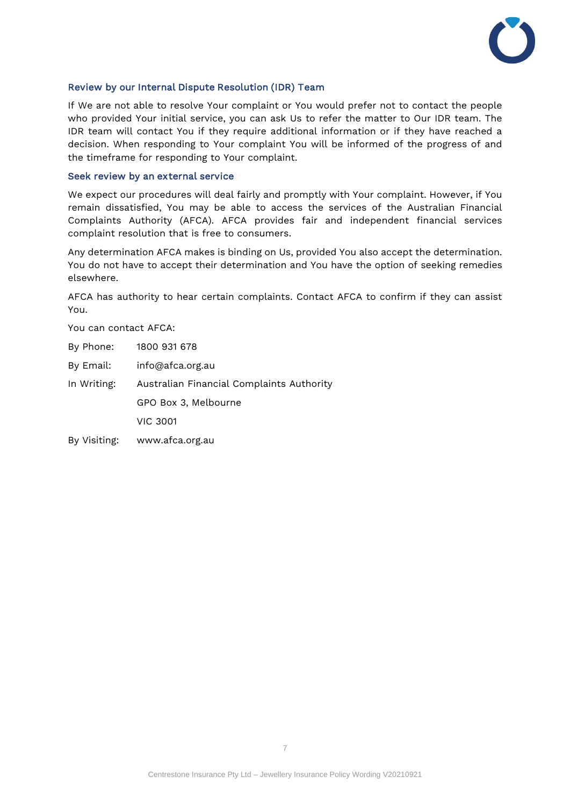

#### **Review by our Internal Dispute Resolution (IDR) Team**

If We are not able to resolve Your complaint or You would prefer not to contact the people who provided Your initial service, you can ask Us to refer the matter to Our IDR team. The IDR team will contact You if they require additional information or if they have reached a decision. When responding to Your complaint You will be informed of the progress of and the timeframe for responding to Your complaint.

#### **Seek review by an external service**

We expect our procedures will deal fairly and promptly with Your complaint. However, if You remain dissatisfied, You may be able to access the services of the Australian Financial Complaints Authority (AFCA). AFCA provides fair and independent financial services complaint resolution that is free to consumers.

Any determination AFCA makes is binding on Us, provided You also accept the determination. You do not have to accept their determination and You have the option of seeking remedies elsewhere.

AFCA has authority to hear certain complaints. Contact AFCA to confirm if they can assist You.

You can contact AFCA:

| By Phone:    | 1800 931 678                              |
|--------------|-------------------------------------------|
| By Email:    | info@afca.org.au                          |
| In Writing:  | Australian Financial Complaints Authority |
|              | GPO Box 3, Melbourne                      |
|              | <b>VIC 3001</b>                           |
| By Visiting: | www.afca.org.au                           |
|              |                                           |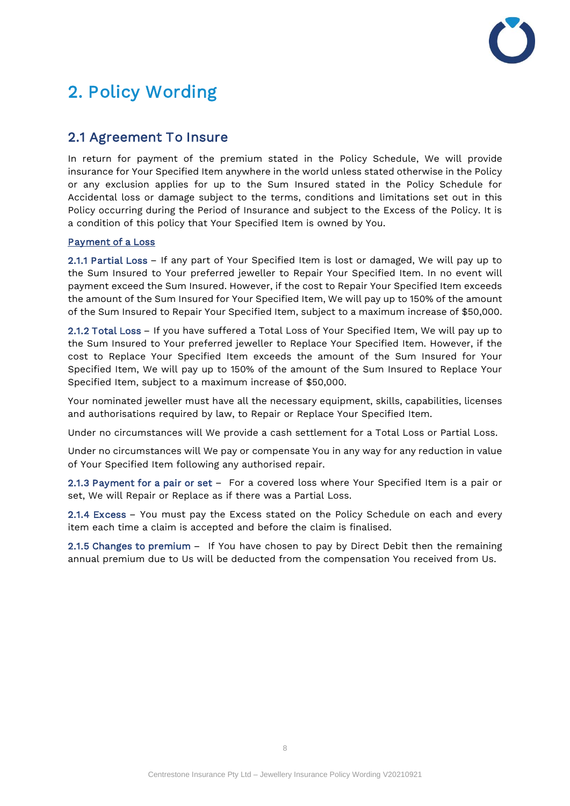

# **2. Policy Wording**

## **2.1 Agreement To Insure**

In return for payment of the premium stated in the Policy Schedule, We will provide insurance for Your Specified Item anywhere in the world unless stated otherwise in the Policy or any exclusion applies for up to the Sum Insured stated in the Policy Schedule for Accidental loss or damage subject to the terms, conditions and limitations set out in this Policy occurring during the Period of Insurance and subject to the Excess of the Policy. It is a condition of this policy that Your Specified Item is owned by You.

### **Payment of a Loss**

**2.1.1 Partial Loss –** If any part of Your Specified Item is lost or damaged, We will pay up to the Sum Insured to Your preferred jeweller to Repair Your Specified Item. In no event will payment exceed the Sum Insured. However, if the cost to Repair Your Specified Item exceeds the amount of the Sum Insured for Your Specified Item, We will pay up to 150% of the amount of the Sum Insured to Repair Your Specified Item, subject to a maximum increase of \$50,000.

**2.1.2 Total Loss –** If you have suffered a Total Loss of Your Specified Item, We will pay up to the Sum Insured to Your preferred jeweller to Replace Your Specified Item. However, if the cost to Replace Your Specified Item exceeds the amount of the Sum Insured for Your Specified Item, We will pay up to 150% of the amount of the Sum Insured to Replace Your Specified Item, subject to a maximum increase of \$50,000.

Your nominated jeweller must have all the necessary equipment, skills, capabilities, licenses and authorisations required by law, to Repair or Replace Your Specified Item.

Under no circumstances will We provide a cash settlement for a Total Loss or Partial Loss.

Under no circumstances will We pay or compensate You in any way for any reduction in value of Your Specified Item following any authorised repair.

**2.1.3 Payment for a pair or set –** For a covered loss where Your Specified Item is a pair or set, We will Repair or Replace as if there was a Partial Loss.

**2.1.4 Excess –** You must pay the Excess stated on the Policy Schedule on each and every item each time a claim is accepted and before the claim is finalised.

**2.1.5 Changes to premium –** If You have chosen to pay by Direct Debit then the remaining annual premium due to Us will be deducted from the compensation You received from Us.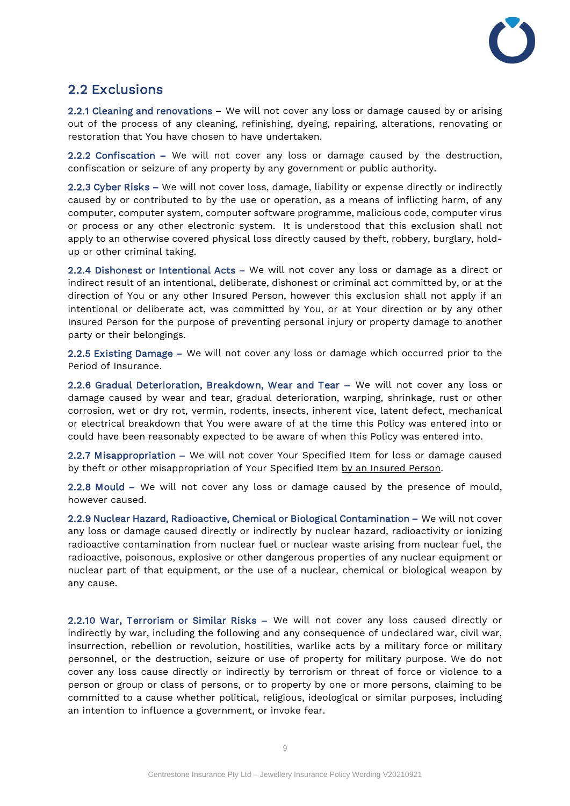

## **2.2 Exclusions**

**2.2.1 Cleaning and renovations –** We will not cover any loss or damage caused by or arising out of the process of any cleaning, refinishing, dyeing, repairing, alterations, renovating or restoration that You have chosen to have undertaken.

**2.2.2 Confiscation –** We will not cover any loss or damage caused by the destruction, confiscation or seizure of any property by any government or public authority.

**2.2.3 Cyber Risks –** We will not cover loss, damage, liability or expense directly or indirectly caused by or contributed to by the use or operation, as a means of inflicting harm, of any computer, computer system, computer software programme, malicious code, computer virus or process or any other electronic system. It is understood that this exclusion shall not apply to an otherwise covered physical loss directly caused by theft, robbery, burglary, holdup or other criminal taking.

**2.2.4 Dishonest or Intentional Acts –** We will not cover any loss or damage as a direct or indirect result of an intentional, deliberate, dishonest or criminal act committed by, or at the direction of You or any other Insured Person, however this exclusion shall not apply if an intentional or deliberate act, was committed by You, or at Your direction or by any other Insured Person for the purpose of preventing personal injury or property damage to another party or their belongings.

**2.2.5 Existing Damage –** We will not cover any loss or damage which occurred prior to the Period of Insurance.

2.2.6 Gradual Deterioration, Breakdown, Wear and Tear - We will not cover any loss or damage caused by wear and tear, gradual deterioration, warping, shrinkage, rust or other corrosion, wet or dry rot, vermin, rodents, insects, inherent vice, latent defect, mechanical or electrical breakdown that You were aware of at the time this Policy was entered into or could have been reasonably expected to be aware of when this Policy was entered into.

**2.2.7 Misappropriation –** We will not cover Your Specified Item for loss or damage caused by theft or other misappropriation of Your Specified Item by an Insured Person.

**2.2.8 Mould –** We will not cover any loss or damage caused by the presence of mould, however caused.

**2.2.9 Nuclear Hazard, Radioactive, Chemical or Biological Contamination –** We will not cover any loss or damage caused directly or indirectly by nuclear hazard, radioactivity or ionizing radioactive contamination from nuclear fuel or nuclear waste arising from nuclear fuel, the radioactive, poisonous, explosive or other dangerous properties of any nuclear equipment or nuclear part of that equipment, or the use of a nuclear, chemical or biological weapon by any cause.

**2.2.10 War, Terrorism or Similar Risks –** We will not cover any loss caused directly or indirectly by war, including the following and any consequence of undeclared war, civil war, insurrection, rebellion or revolution, hostilities, warlike acts by a military force or military personnel, or the destruction, seizure or use of property for military purpose. We do not cover any loss cause directly or indirectly by terrorism or threat of force or violence to a person or group or class of persons, or to property by one or more persons, claiming to be committed to a cause whether political, religious, ideological or similar purposes, including an intention to influence a government, or invoke fear.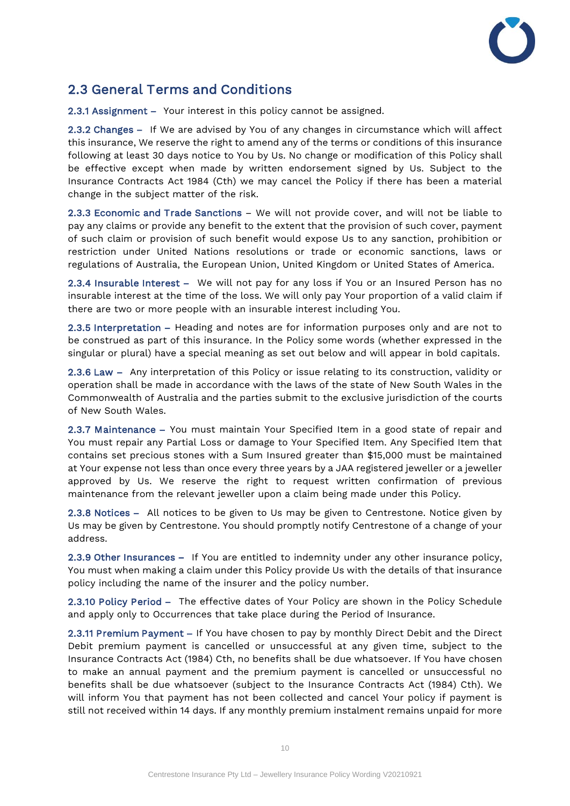

## **2.3 General Terms and Conditions**

**2.3.1 Assignment –** Your interest in this policy cannot be assigned.

**2.3.2 Changes –** If We are advised by You of any changes in circumstance which will affect this insurance, We reserve the right to amend any of the terms or conditions of this insurance following at least 30 days notice to You by Us. No change or modification of this Policy shall be effective except when made by written endorsement signed by Us. Subject to the Insurance Contracts Act 1984 (Cth) we may cancel the Policy if there has been a material change in the subject matter of the risk.

**2.3.3 Economic and Trade Sanctions** – We will not provide cover, and will not be liable to pay any claims or provide any benefit to the extent that the provision of such cover, payment of such claim or provision of such benefit would expose Us to any sanction, prohibition or restriction under United Nations resolutions or trade or economic sanctions, laws or regulations of Australia, the European Union, United Kingdom or United States of America.

**2.3.4 Insurable Interest –** We will not pay for any loss if You or an Insured Person has no insurable interest at the time of the loss. We will only pay Your proportion of a valid claim if there are two or more people with an insurable interest including You.

**2.3.5 Interpretation –** Heading and notes are for information purposes only and are not to be construed as part of this insurance. In the Policy some words (whether expressed in the singular or plural) have a special meaning as set out below and will appear in bold capitals.

**2.3.6 Law –** Any interpretation of this Policy or issue relating to its construction, validity or operation shall be made in accordance with the laws of the state of New South Wales in the Commonwealth of Australia and the parties submit to the exclusive jurisdiction of the courts of New South Wales.

**2.3.7 Maintenance –** You must maintain Your Specified Item in a good state of repair and You must repair any Partial Loss or damage to Your Specified Item. Any Specified Item that contains set precious stones with a Sum Insured greater than \$15,000 must be maintained at Your expense not less than once every three years by a JAA registered jeweller or a jeweller approved by Us. We reserve the right to request written confirmation of previous maintenance from the relevant jeweller upon a claim being made under this Policy.

**2.3.8 Notices –** All notices to be given to Us may be given to Centrestone. Notice given by Us may be given by Centrestone. You should promptly notify Centrestone of a change of your address.

**2.3.9 Other Insurances –** If You are entitled to indemnity under any other insurance policy, You must when making a claim under this Policy provide Us with the details of that insurance policy including the name of the insurer and the policy number.

**2.3.10 Policy Period –** The effective dates of Your Policy are shown in the Policy Schedule and apply only to Occurrences that take place during the Period of Insurance.

**2.3.11 Premium Payment –** If You have chosen to pay by monthly Direct Debit and the Direct Debit premium payment is cancelled or unsuccessful at any given time, subject to the Insurance Contracts Act (1984) Cth, no benefits shall be due whatsoever. If You have chosen to make an annual payment and the premium payment is cancelled or unsuccessful no benefits shall be due whatsoever (subject to the Insurance Contracts Act (1984) Cth). We will inform You that payment has not been collected and cancel Your policy if payment is still not received within 14 days. If any monthly premium instalment remains unpaid for more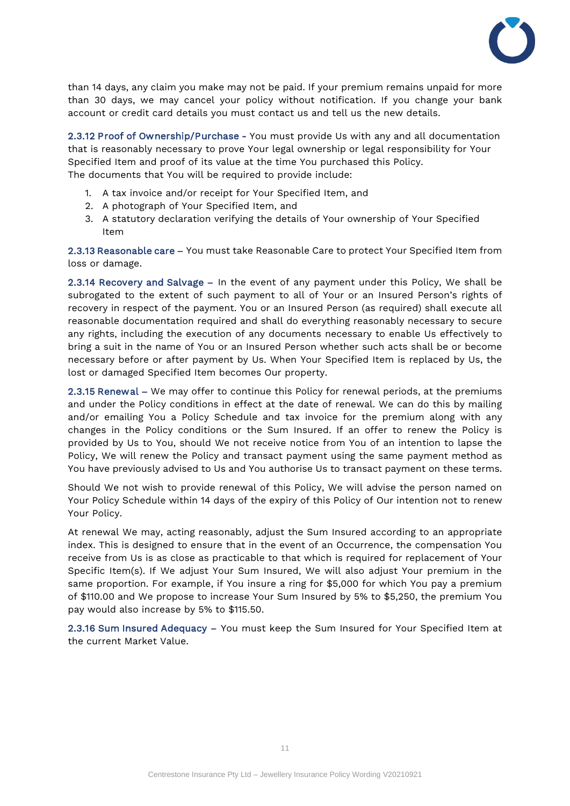

than 14 days, any claim you make may not be paid. If your premium remains unpaid for more than 30 days, we may cancel your policy without notification. If you change your bank account or credit card details you must contact us and tell us the new details.

**2.3.12 Proof of Ownership/Purchase -** You must provide Us with any and all documentation that is reasonably necessary to prove Your legal ownership or legal responsibility for Your Specified Item and proof of its value at the time You purchased this Policy. The documents that You will be required to provide include:

- 1. A tax invoice and/or receipt for Your Specified Item, and
- 2. A photograph of Your Specified Item, and
- 3. A statutory declaration verifying the details of Your ownership of Your Specified Item

**2.3.13 Reasonable care –** You must take Reasonable Care to protect Your Specified Item from loss or damage.

**2.3.14 Recovery and Salvage –** In the event of any payment under this Policy, We shall be subrogated to the extent of such payment to all of Your or an Insured Person's rights of recovery in respect of the payment. You or an Insured Person (as required) shall execute all reasonable documentation required and shall do everything reasonably necessary to secure any rights, including the execution of any documents necessary to enable Us effectively to bring a suit in the name of You or an Insured Person whether such acts shall be or become necessary before or after payment by Us. When Your Specified Item is replaced by Us, the lost or damaged Specified Item becomes Our property.

**2.3.15 Renewal –** We may offer to continue this Policy for renewal periods, at the premiums and under the Policy conditions in effect at the date of renewal. We can do this by mailing and/or emailing You a Policy Schedule and tax invoice for the premium along with any changes in the Policy conditions or the Sum Insured. If an offer to renew the Policy is provided by Us to You, should We not receive notice from You of an intention to lapse the Policy, We will renew the Policy and transact payment using the same payment method as You have previously advised to Us and You authorise Us to transact payment on these terms.

Should We not wish to provide renewal of this Policy, We will advise the person named on Your Policy Schedule within 14 days of the expiry of this Policy of Our intention not to renew Your Policy.

At renewal We may, acting reasonably, adjust the Sum Insured according to an appropriate index. This is designed to ensure that in the event of an Occurrence, the compensation You receive from Us is as close as practicable to that which is required for replacement of Your Specific Item(s). If We adjust Your Sum Insured, We will also adjust Your premium in the same proportion. For example, if You insure a ring for \$5,000 for which You pay a premium of \$110.00 and We propose to increase Your Sum Insured by 5% to \$5,250, the premium You pay would also increase by 5% to \$115.50.

**2.3.16 Sum Insured Adequacy –** You must keep the Sum Insured for Your Specified Item at the current Market Value.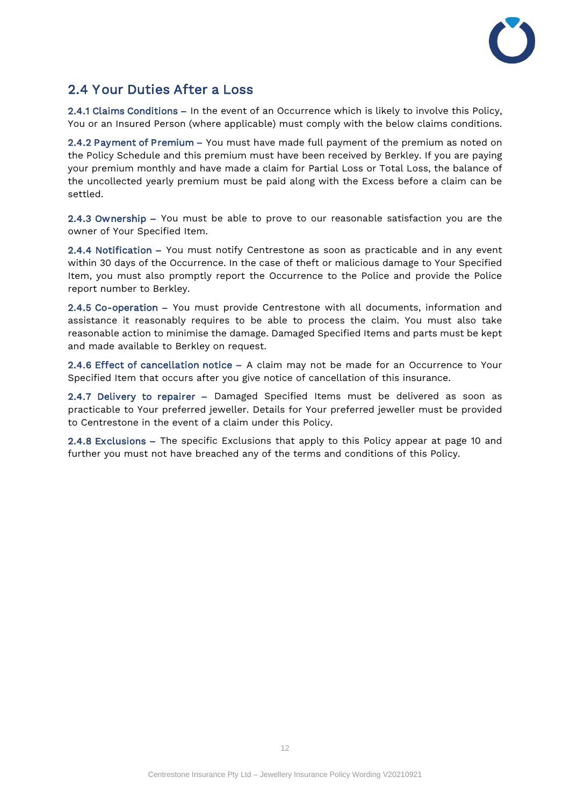

## **2.4 Your Duties After a Loss**

**2.4.1 Claims Conditions –** In the event of an Occurrence which is likely to involve this Policy, You or an Insured Person (where applicable) must comply with the below claims conditions.

**2.4.2 Payment of Premium –** You must have made full payment of the premium as noted on the Policy Schedule and this premium must have been received by Berkley. If you are paying your premium monthly and have made a claim for Partial Loss or Total Loss, the balance of the uncollected yearly premium must be paid along with the Excess before a claim can be settled.

**2.4.3 Ownership –** You must be able to prove to our reasonable satisfaction you are the owner of Your Specified Item.

**2.4.4 Notification –** You must notify Centrestone as soon as practicable and in any event within 30 days of the Occurrence. In the case of theft or malicious damage to Your Specified Item, you must also promptly report the Occurrence to the Police and provide the Police report number to Berkley.

**2.4.5 Co-operation –** You must provide Centrestone with all documents, information and assistance it reasonably requires to be able to process the claim. You must also take reasonable action to minimise the damage. Damaged Specified Items and parts must be kept and made available to Berkley on request.

**2.4.6 Effect of cancellation notice –** A claim may not be made for an Occurrence to Your Specified Item that occurs after you give notice of cancellation of this insurance.

**2.4.7 Delivery to repairer –** Damaged Specified Items must be delivered as soon as practicable to Your preferred jeweller. Details for Your preferred jeweller must be provided to Centrestone in the event of a claim under this Policy.

**2.4.8 Exclusions –** The specific Exclusions that apply to this Policy appear at page 10 and further you must not have breached any of the terms and conditions of this Policy.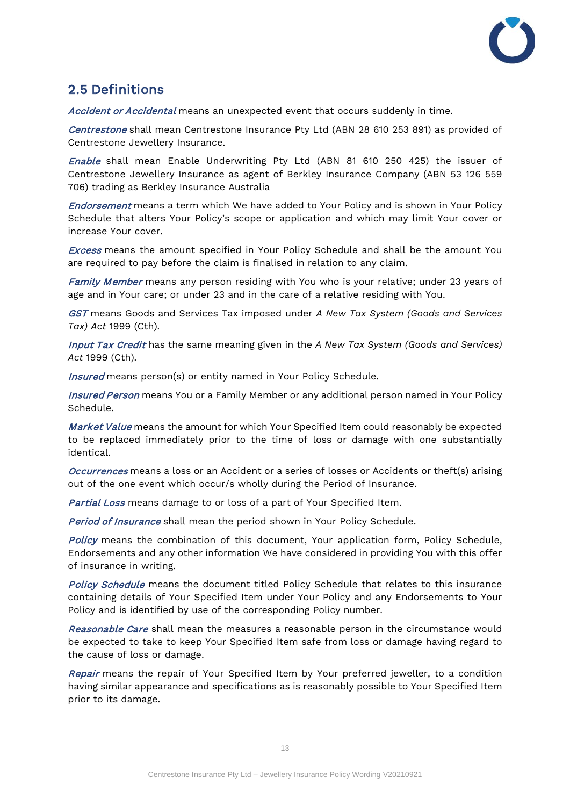

## **2.5 Definitions**

**Accident or Accidental** means an unexpected event that occurs suddenly in time.

**Centrestone** shall mean Centrestone Insurance Pty Ltd (ABN 28 610 253 891) as provided of Centrestone Jewellery Insurance.

**Enable** shall mean Enable Underwriting Pty Ltd (ABN 81 610 250 425) the issuer of Centrestone Jewellery Insurance as agent of Berkley Insurance Company (ABN 53 126 559 706) trading as Berkley Insurance Australia

**Endorsement** means a term which We have added to Your Policy and is shown in Your Policy Schedule that alters Your Policy's scope or application and which may limit Your cover or increase Your cover.

**Excess** means the amount specified in Your Policy Schedule and shall be the amount You are required to pay before the claim is finalised in relation to any claim.

**Family Member** means any person residing with You who is your relative; under 23 years of age and in Your care; or under 23 and in the care of a relative residing with You.

**GST** means Goods and Services Tax imposed under *A New Tax System (Goods and Services Tax) Act* 1999 (Cth).

**Input Tax Credit** has the same meaning given in the *A New Tax System (Goods and Services) Act* 1999 (Cth).

**Insured** means person(s) or entity named in Your Policy Schedule.

**Insured Person** means You or a Family Member or any additional person named in Your Policy Schedule.

**Market Value** means the amount for which Your Specified Item could reasonably be expected to be replaced immediately prior to the time of loss or damage with one substantially identical.

**Occurrences** means a loss or an Accident or a series of losses or Accidents or theft(s) arising out of the one event which occur/s wholly during the Period of Insurance.

**Partial Loss** means damage to or loss of a part of Your Specified Item.

**Period of Insurance** shall mean the period shown in Your Policy Schedule.

**Policy** means the combination of this document, Your application form, Policy Schedule, Endorsements and any other information We have considered in providing You with this offer of insurance in writing.

**Policy Schedule** means the document titled Policy Schedule that relates to this insurance containing details of Your Specified Item under Your Policy and any Endorsements to Your Policy and is identified by use of the corresponding Policy number.

**Reasonable Care** shall mean the measures a reasonable person in the circumstance would be expected to take to keep Your Specified Item safe from loss or damage having regard to the cause of loss or damage.

**Repair** means the repair of Your Specified Item by Your preferred jeweller, to a condition having similar appearance and specifications as is reasonably possible to Your Specified Item prior to its damage.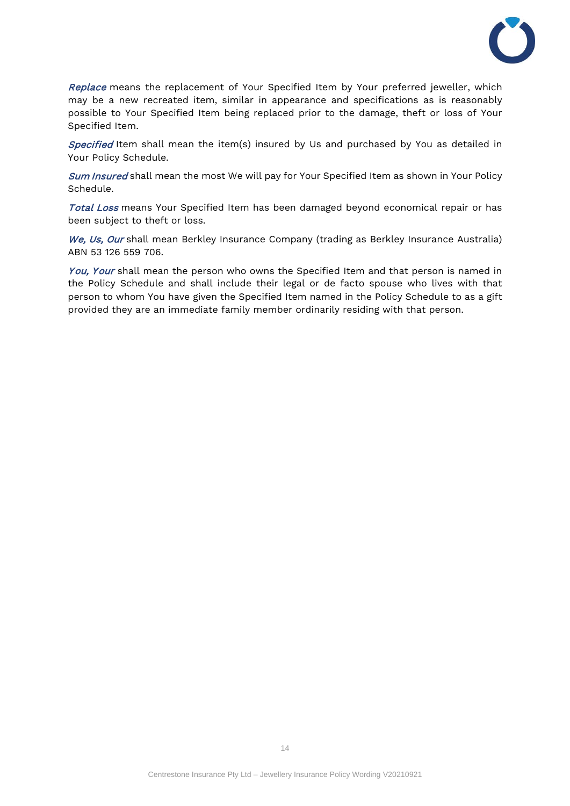

**Replace** means the replacement of Your Specified Item by Your preferred jeweller, which may be a new recreated item, similar in appearance and specifications as is reasonably possible to Your Specified Item being replaced prior to the damage, theft or loss of Your Specified Item.

**Specified** Item shall mean the item(s) insured by Us and purchased by You as detailed in Your Policy Schedule.

**Sum Insured** shall mean the most We will pay for Your Specified Item as shown in Your Policy Schedule.

**Total Loss** means Your Specified Item has been damaged beyond economical repair or has been subject to theft or loss.

**We, Us, Our** shall mean Berkley Insurance Company (trading as Berkley Insurance Australia) ABN 53 126 559 706.

**You, Your** shall mean the person who owns the Specified Item and that person is named in the Policy Schedule and shall include their legal or de facto spouse who lives with that person to whom You have given the Specified Item named in the Policy Schedule to as a gift provided they are an immediate family member ordinarily residing with that person.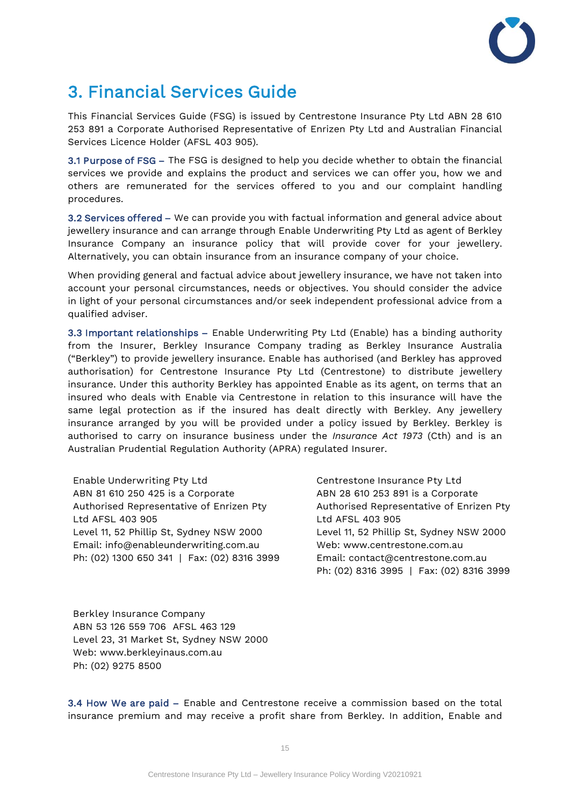

# **3. Financial Services Guide**

This Financial Services Guide (FSG) is issued by Centrestone Insurance Pty Ltd ABN 28 610 253 891 a Corporate Authorised Representative of Enrizen Pty Ltd and Australian Financial Services Licence Holder (AFSL 403 905).

**3.1 Purpose of FSG –** The FSG is designed to help you decide whether to obtain the financial services we provide and explains the product and services we can offer you, how we and others are remunerated for the services offered to you and our complaint handling procedures.

**3.2 Services offered –** We can provide you with factual information and general advice about jewellery insurance and can arrange through Enable Underwriting Pty Ltd as agent of Berkley Insurance Company an insurance policy that will provide cover for your jewellery. Alternatively, you can obtain insurance from an insurance company of your choice.

When providing general and factual advice about jewellery insurance, we have not taken into account your personal circumstances, needs or objectives. You should consider the advice in light of your personal circumstances and/or seek independent professional advice from a qualified adviser.

**3.3 Important relationships –** Enable Underwriting Pty Ltd (Enable) has a binding authority from the Insurer, Berkley Insurance Company trading as Berkley Insurance Australia ("Berkley") to provide jewellery insurance. Enable has authorised (and Berkley has approved authorisation) for Centrestone Insurance Pty Ltd (Centrestone) to distribute jewellery insurance. Under this authority Berkley has appointed Enable as its agent, on terms that an insured who deals with Enable via Centrestone in relation to this insurance will have the same legal protection as if the insured has dealt directly with Berkley. Any jewellery insurance arranged by you will be provided under a policy issued by Berkley. Berkley is authorised to carry on insurance business under the *Insurance Act 1973* (Cth) and is an Australian Prudential Regulation Authority (APRA) regulated Insurer.

**Enable Underwriting Pty Ltd** ABN 81 610 250 425 is a Corporate Authorised Representative of Enrizen Pty Ltd AFSL 403 905 Level 11, 52 Phillip St, Sydney NSW 2000 Email: info@enableunderwriting.com.au Ph: (02) 1300 650 341 | Fax: (02) 8316 3999

**Centrestone Insurance Pty Ltd** ABN 28 610 253 891 is a Corporate Authorised Representative of Enrizen Pty Ltd AFSL 403 905 Level 11, 52 Phillip St, Sydney NSW 2000 Web: www.centrestone.com.au Email: contact@centrestone.com.au Ph: (02) 8316 3995 | Fax: (02) 8316 3999

**Berkley Insurance Company** ABN 53 126 559 706 AFSL 463 129 Level 23, 31 Market St, Sydney NSW 2000 Web: www.berkleyinaus.com.au Ph: (02) 9275 8500

**3.4 How We are paid –** Enable and Centrestone receive a commission based on the total insurance premium and may receive a profit share from Berkley. In addition, Enable and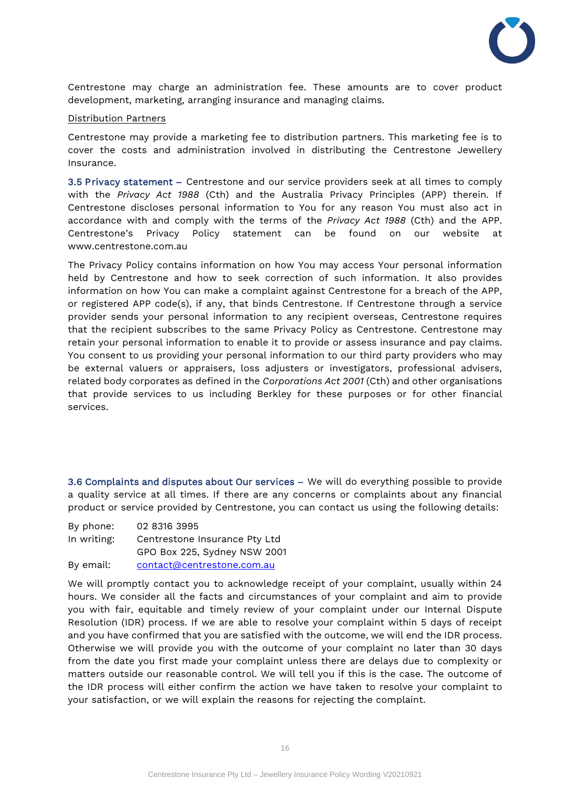

Centrestone may charge an administration fee. These amounts are to cover product development, marketing, arranging insurance and managing claims.

#### Distribution Partners

Centrestone may provide a marketing fee to distribution partners. This marketing fee is to cover the costs and administration involved in distributing the Centrestone Jewellery Insurance.

**3.5 Privacy statement –** Centrestone and our service providers seek at all times to comply with the *Privacy Act 1988* (Cth) and the Australia Privacy Principles (APP) therein. If Centrestone discloses personal information to You for any reason You must also act in accordance with and comply with the terms of the *Privacy Act 1988* (Cth) and the APP. Centrestone's Privacy Policy statement can be found on our website at www.centrestone.com.au

The Privacy Policy contains information on how You may access Your personal information held by Centrestone and how to seek correction of such information. It also provides information on how You can make a complaint against Centrestone for a breach of the APP, or registered APP code(s), if any, that binds Centrestone. If Centrestone through a service provider sends your personal information to any recipient overseas, Centrestone requires that the recipient subscribes to the same Privacy Policy as Centrestone. Centrestone may retain your personal information to enable it to provide or assess insurance and pay claims. You consent to us providing your personal information to our third party providers who may be external valuers or appraisers, loss adjusters or investigators, professional advisers, related body corporates as defined in the *Corporations Act 2001* (Cth) and other organisations that provide services to us including Berkley for these purposes or for other financial services.

**3.6 Complaints and disputes about Our services –** We will do everything possible to provide a quality service at all times. If there are any concerns or complaints about any financial product or service provided by Centrestone, you can contact us using the following details:

| By phone:   | 02 8316 3995                  |
|-------------|-------------------------------|
| In writing: | Centrestone Insurance Pty Ltd |
|             | GPO Box 225, Sydney NSW 2001  |
| By email:   | contact@centrestone.com.au    |

We will promptly contact you to acknowledge receipt of your complaint, usually within 24 hours. We consider all the facts and circumstances of your complaint and aim to provide you with fair, equitable and timely review of your complaint under our Internal Dispute Resolution (IDR) process. If we are able to resolve your complaint within 5 days of receipt and you have confirmed that you are satisfied with the outcome, we will end the IDR process. Otherwise we will provide you with the outcome of your complaint no later than 30 days from the date you first made your complaint unless there are delays due to complexity or matters outside our reasonable control. We will tell you if this is the case. The outcome of the IDR process will either confirm the action we have taken to resolve your complaint to your satisfaction, or we will explain the reasons for rejecting the complaint.